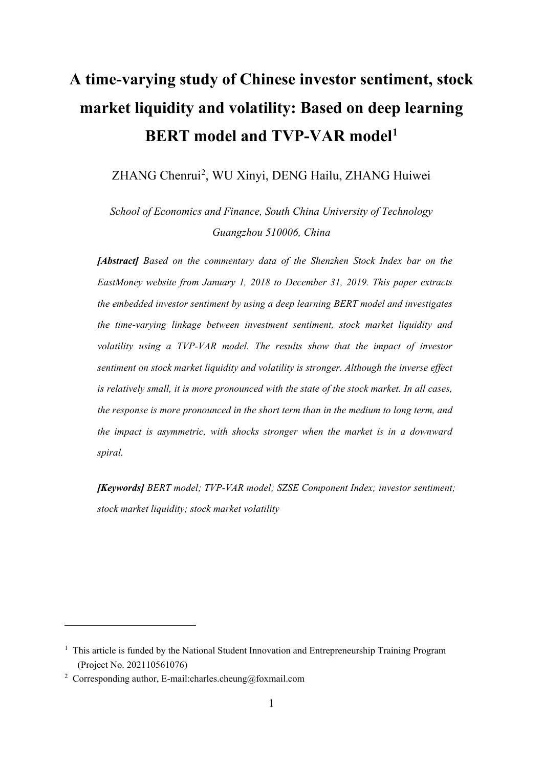# **A time-varying study of Chinese investor sentiment, stock market liquidity and volatility: Based on deep learning BERT model and TVP-VAR model[1](#page-0-0)**

ZHANG Chenrui<sup>[2](#page-0-1)</sup>, WU Xinyi, DENG Hailu, ZHANG Huiwei

*School of Economics and Finance, South China University of Technology Guangzhou 510006, China*

*[Abstract] Based on the commentary data of the Shenzhen Stock Index bar on the EastMoney website from January 1, 2018 to December 31, 2019. This paper extracts the embedded investor sentiment by using a deep learning BERT model and investigates the time-varying linkage between investment sentiment, stock market liquidity and volatility using a TVP-VAR model. The results show that the impact of investor sentiment on stock market liquidity and volatility is stronger. Although the inverse effect is relatively small, it is more pronounced with the state of the stock market. In all cases, the response is more pronounced in the short term than in the medium to long term, and the impact is asymmetric, with shocks stronger when the market is in a downward spiral.*

*[Keywords] BERT model; TVP-VAR model; SZSE Component Index; investor sentiment; stock market liquidity; stock market volatility*

<span id="page-0-0"></span> $1$  This article is funded by the National Student Innovation and Entrepreneurship Training Program (Project No. 202110561076)

<span id="page-0-1"></span><sup>&</sup>lt;sup>2</sup> Corresponding author, E-mail:charles.cheung@foxmail.com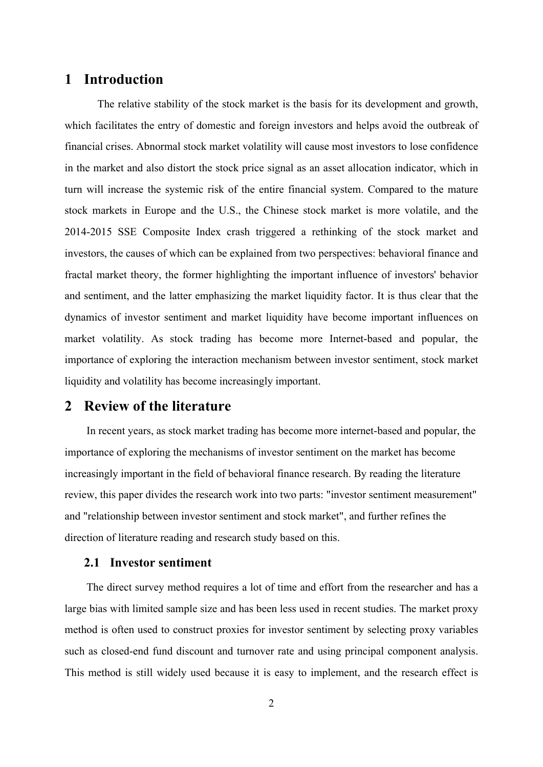# **1 Introduction**

The relative stability of the stock market is the basis for its development and growth, which facilitates the entry of domestic and foreign investors and helps avoid the outbreak of financial crises. Abnormal stock market volatility will cause most investors to lose confidence in the market and also distort the stock price signal as an asset allocation indicator, which in turn will increase the systemic risk of the entire financial system. Compared to the mature stock markets in Europe and the U.S., the Chinese stock market is more volatile, and the 2014-2015 SSE Composite Index crash triggered a rethinking of the stock market and investors, the causes of which can be explained from two perspectives: behavioral finance and fractal market theory, the former highlighting the important influence of investors' behavior and sentiment, and the latter emphasizing the market liquidity factor. It is thus clear that the dynamics of investor sentiment and market liquidity have become important influences on market volatility. As stock trading has become more Internet-based and popular, the importance of exploring the interaction mechanism between investor sentiment, stock market liquidity and volatility has become increasingly important.

# **2 Review of the literature**

In recent years, as stock market trading has become more internet-based and popular, the importance of exploring the mechanisms of investor sentiment on the market has become increasingly important in the field of behavioral finance research. By reading the literature review, this paper divides the research work into two parts: "investor sentiment measurement" and "relationship between investor sentiment and stock market", and further refines the direction of literature reading and research study based on this.

### **2.1 Investor sentiment**

The direct survey method requires a lot of time and effort from the researcher and has a large bias with limited sample size and has been less used in recent studies. The market proxy method is often used to construct proxies for investor sentiment by selecting proxy variables such as closed-end fund discount and turnover rate and using principal component analysis. This method is still widely used because it is easy to implement, and the research effect is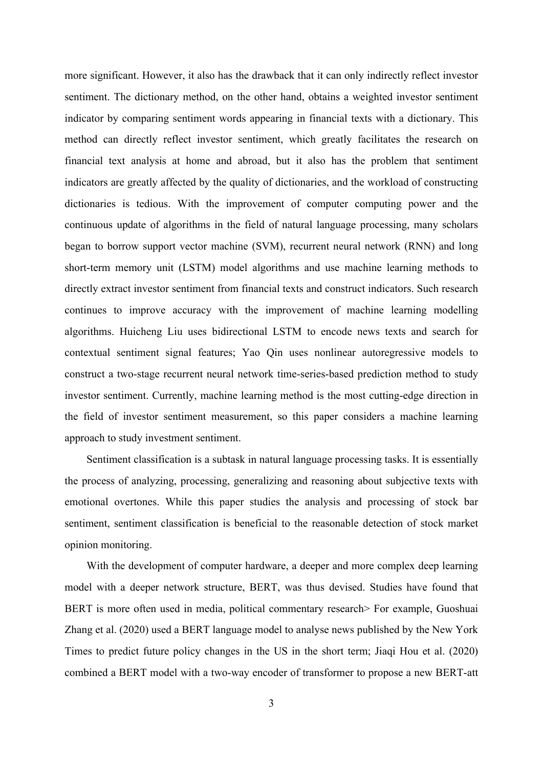more significant. However, it also has the drawback that it can only indirectly reflect investor sentiment. The dictionary method, on the other hand, obtains a weighted investor sentiment indicator by comparing sentiment words appearing in financial texts with a dictionary. This method can directly reflect investor sentiment, which greatly facilitates the research on financial text analysis at home and abroad, but it also has the problem that sentiment indicators are greatly affected by the quality of dictionaries, and the workload of constructing dictionaries is tedious. With the improvement of computer computing power and the continuous update of algorithms in the field of natural language processing, many scholars began to borrow support vector machine (SVM), recurrent neural network (RNN) and long short-term memory unit (LSTM) model algorithms and use machine learning methods to directly extract investor sentiment from financial texts and construct indicators. Such research continues to improve accuracy with the improvement of machine learning modelling algorithms. Huicheng Liu uses bidirectional LSTM to encode news texts and search for contextual sentiment signal features; Yao Qin uses nonlinear autoregressive models to construct a two-stage recurrent neural network time-series-based prediction method to study investor sentiment. Currently, machine learning method is the most cutting-edge direction in the field of investor sentiment measurement, so this paper considers a machine learning approach to study investment sentiment.

Sentiment classification is a subtask in natural language processing tasks. It is essentially the process of analyzing, processing, generalizing and reasoning about subjective texts with emotional overtones. While this paper studies the analysis and processing of stock bar sentiment, sentiment classification is beneficial to the reasonable detection of stock market opinion monitoring.

With the development of computer hardware, a deeper and more complex deep learning model with a deeper network structure, BERT, was thus devised. Studies have found that BERT is more often used in media, political commentary research is For example, Guoshuai Zhang et al. (2020) used a BERT language model to analyse news published by the New York Times to predict future policy changes in the US in the short term; Jiaqi Hou et al. (2020) combined a BERT model with a two-way encoder of transformer to propose a new BERT-att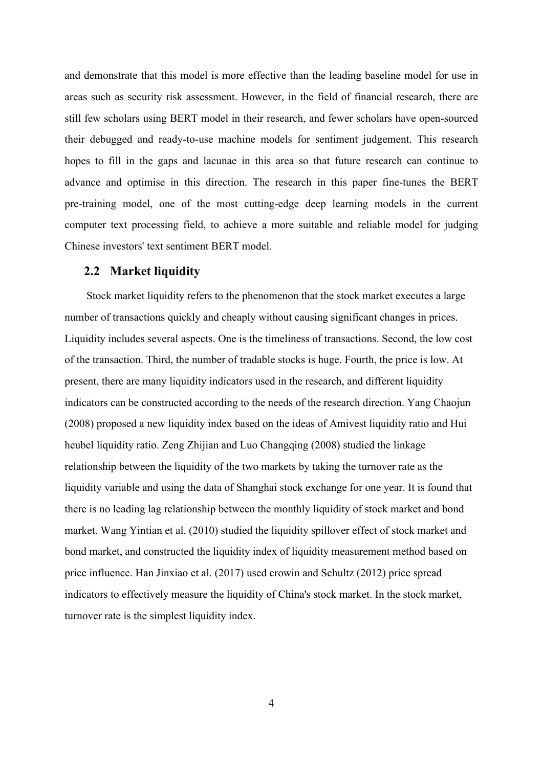and demonstrate that this model is more effective than the leading baseline model for use in areas such as security risk assessment. However, in the field of financial research, there are still few scholars using BERT model in their research, and fewer scholars have open-sourced their debugged and ready-to-use machine models for sentiment judgement. This research hopes to fill in the gaps and lacunae in this area so that future research can continue to advance and optimise in this direction. The research in this paper fine-tunes the BERT pre-training model, one of the most cutting-edge deep learning models in the current computer text processing field, to achieve a more suitable and reliable model for judging Chinese investors' text sentiment BERT model.

#### **2.2 Market liquidity**

Stock market liquidity refers to the phenomenon that the stock market executes a large number of transactions quickly and cheaply without causing significant changes in prices. Liquidity includes several aspects. One is the timeliness of transactions. Second, the low cost of the transaction. Third, the number of tradable stocks is huge. Fourth, the price is low. At present, there are many liquidity indicators used in the research, and different liquidity indicators can be constructed according to the needs of the research direction. Yang Chaojun (2008) proposed a new liquidity index based on the ideas of Amivest liquidity ratio and Hui heubel liquidity ratio. Zeng Zhijian and Luo Changqing (2008) studied the linkage relationship between the liquidity of the two markets by taking the turnover rate as the liquidity variable and using the data of Shanghai stock exchange for one year. It is found that there is no leading lag relationship between the monthly liquidity of stock market and bond market. Wang Yintian et al. (2010) studied the liquidity spillover effect of stock market and bond market, and constructed the liquidity index of liquidity measurement method based on price influence. Han Jinxiao et al. (2017) used crowin and Schultz (2012) price spread indicators to effectively measure the liquidity of China's stock market. In the stock market, turnover rate is the simplest liquidity index.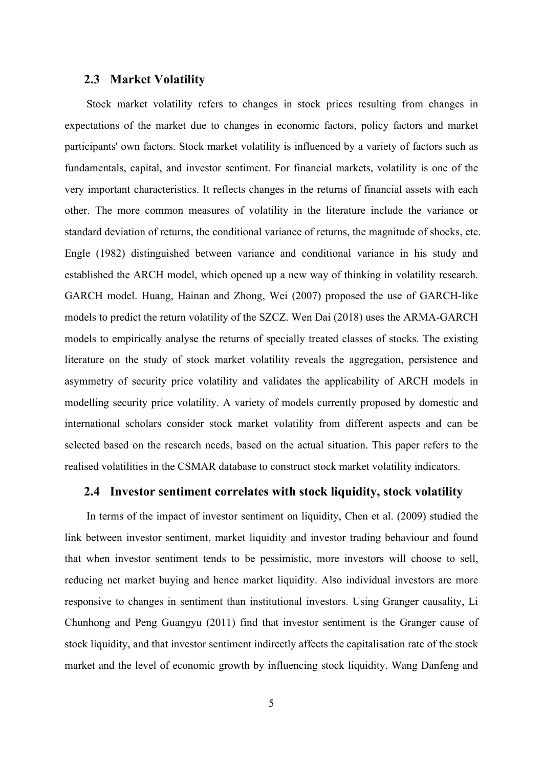#### **2.3 Market Volatility**

Stock market volatility refers to changes in stock prices resulting from changes in expectations of the market due to changes in economic factors, policy factors and market participants' own factors. Stock market volatility is influenced by a variety of factors such as fundamentals, capital, and investor sentiment. For financial markets, volatility is one of the very important characteristics. It reflects changes in the returns of financial assets with each other. The more common measures of volatility in the literature include the variance or standard deviation of returns, the conditional variance of returns, the magnitude of shocks, etc. Engle (1982) distinguished between variance and conditional variance in his study and established the ARCH model, which opened up a new way of thinking in volatility research. GARCH model. Huang, Hainan and Zhong, Wei (2007) proposed the use of GARCH-like models to predict the return volatility of the SZCZ. Wen Dai (2018) uses the ARMA-GARCH models to empirically analyse the returns of specially treated classes of stocks. The existing literature on the study of stock market volatility reveals the aggregation, persistence and asymmetry of security price volatility and validates the applicability of ARCH models in modelling security price volatility. A variety of models currently proposed by domestic and international scholars consider stock market volatility from different aspects and can be selected based on the research needs, based on the actual situation. This paper refers to the realised volatilities in the CSMAR database to construct stock market volatility indicators.

#### **2.4 Investor sentiment correlates with stock liquidity, stock volatility**

In terms of the impact of investor sentiment on liquidity, Chen et al. (2009) studied the link between investor sentiment, market liquidity and investor trading behaviour and found that when investor sentiment tends to be pessimistic, more investors will choose to sell, reducing net market buying and hence market liquidity. Also individual investors are more responsive to changes in sentiment than institutional investors. Using Granger causality, Li Chunhong and Peng Guangyu (2011) find that investor sentiment is the Granger cause of stock liquidity, and that investor sentiment indirectly affects the capitalisation rate of the stock market and the level of economic growth by influencing stock liquidity. Wang Danfeng and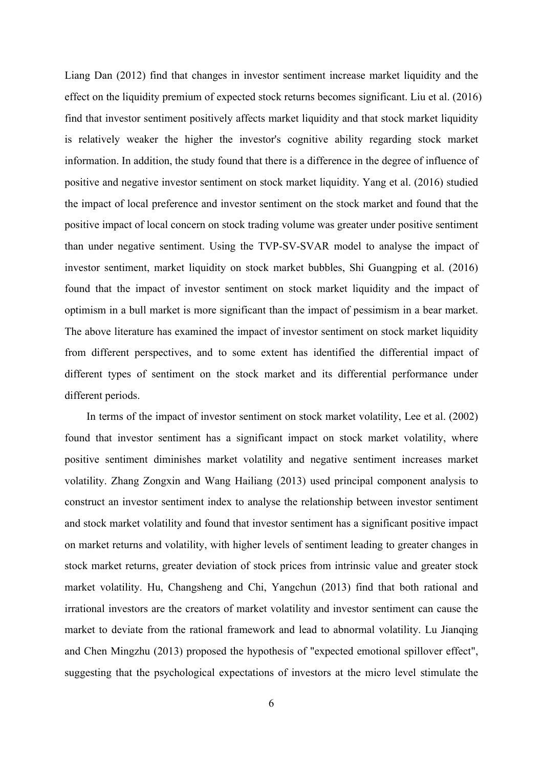Liang Dan (2012) find that changes in investor sentiment increase market liquidity and the effect on the liquidity premium of expected stock returns becomes significant. Liu et al. (2016) find that investor sentiment positively affects market liquidity and that stock market liquidity is relatively weaker the higher the investor's cognitive ability regarding stock market information. In addition, the study found that there is a difference in the degree of influence of positive and negative investor sentiment on stock market liquidity. Yang et al. (2016) studied the impact of local preference and investor sentiment on the stock market and found that the positive impact of local concern on stock trading volume was greater under positive sentiment than under negative sentiment. Using the TVP-SV-SVAR model to analyse the impact of investor sentiment, market liquidity on stock market bubbles, Shi Guangping et al. (2016) found that the impact of investor sentiment on stock market liquidity and the impact of optimism in a bull market is more significant than the impact of pessimism in a bear market. The above literature has examined the impact of investor sentiment on stock market liquidity from different perspectives, and to some extent has identified the differential impact of different types of sentiment on the stock market and its differential performance under different periods.

In terms of the impact of investor sentiment on stock market volatility, Lee et al. (2002) found that investor sentiment has a significant impact on stock market volatility, where positive sentiment diminishes market volatility and negative sentiment increases market volatility. Zhang Zongxin and Wang Hailiang (2013) used principal component analysis to construct an investor sentiment index to analyse the relationship between investor sentiment and stock market volatility and found that investor sentiment has a significant positive impact on market returns and volatility, with higher levels of sentiment leading to greater changes in stock market returns, greater deviation of stock prices from intrinsic value and greater stock market volatility. Hu, Changsheng and Chi, Yangchun (2013) find that both rational and irrational investors are the creators of market volatility and investor sentiment can cause the market to deviate from the rational framework and lead to abnormal volatility. Lu Jianqing and Chen Mingzhu (2013) proposed the hypothesis of "expected emotional spillover effect", suggesting that the psychological expectations of investors at the micro level stimulate the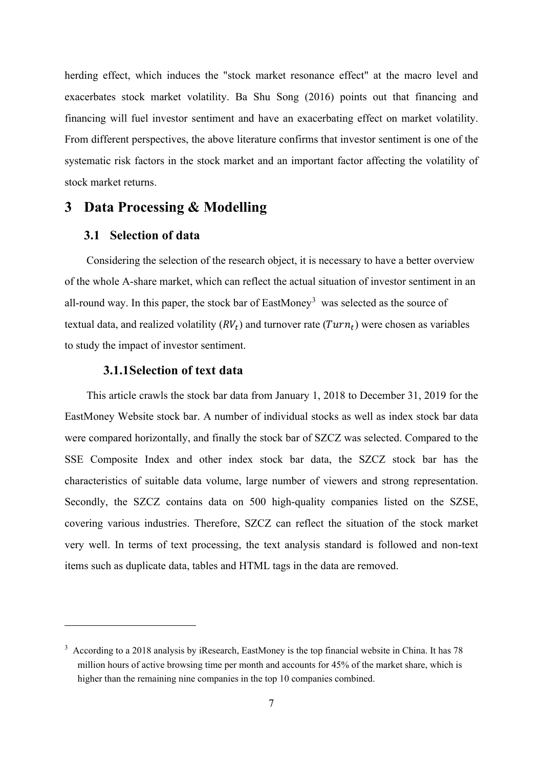herding effect, which induces the "stock market resonance effect" at the macro level and exacerbates stock market volatility. Ba Shu Song (2016) points out that financing and financing will fuel investor sentiment and have an exacerbating effect on market volatility. From different perspectives, the above literature confirms that investor sentiment is one of the systematic risk factors in the stock market and an important factor affecting the volatility of stock market returns.

# **3 Data Processing & Modelling**

#### **3.1 Selection of data**

Considering the selection of the research object, it is necessary to have a better overview of the whole A-share market, which can reflect the actual situation of investor sentiment in an all-round way. In this paper, the stock bar of EastMoney<sup>[3](#page-6-0)</sup> was selected as the source of textual data, and realized volatility  $(RV_t)$  and turnover rate  $(Turn_t)$  were chosen as variables to study the impact of investor sentiment.

#### **3.1.1Selection of text data**

This article crawls the stock bar data from January 1, 2018 to December 31, 2019 for the EastMoney Website stock bar. A number of individual stocks as well as index stock bar data were compared horizontally, and finally the stock bar of SZCZ was selected. Compared to the SSE Composite Index and other index stock bar data, the SZCZ stock bar has the characteristics of suitable data volume, large number of viewers and strong representation. Secondly, the SZCZ contains data on 500 high-quality companies listed on the SZSE, covering various industries. Therefore, SZCZ can reflect the situation of the stock market very well. In terms of text processing, the text analysis standard is followed and non-text items such as duplicate data, tables and HTML tags in the data are removed.

<span id="page-6-0"></span><sup>&</sup>lt;sup>3</sup> According to a 2018 analysis by iResearch, EastMoney is the top financial website in China. It has 78 million hours of active browsing time per month and accounts for 45% of the market share, which is higher than the remaining nine companies in the top 10 companies combined.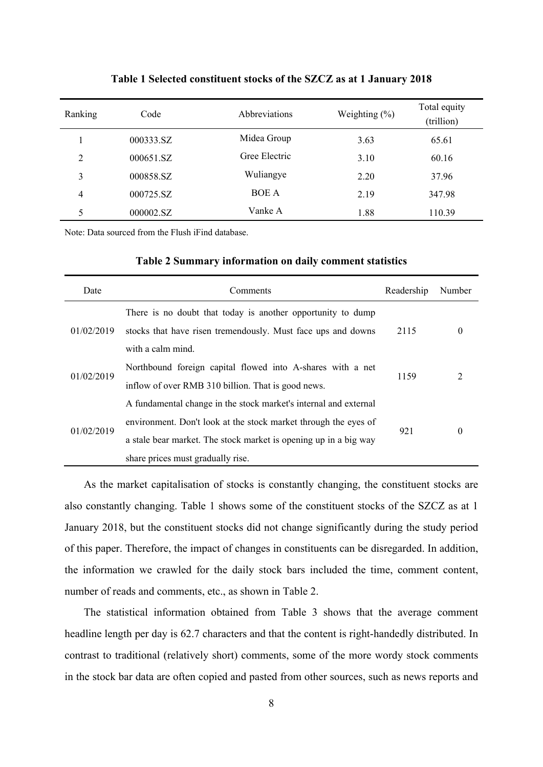| Ranking        | Code      | <b>Abbreviations</b> | Weighting $(\% )$ | Total equity<br>(trillion) |
|----------------|-----------|----------------------|-------------------|----------------------------|
|                | 000333.SZ | Midea Group          | 3.63              | 65.61                      |
| $\overline{2}$ | 000651.SZ | Gree Electric        | 3.10              | 60.16                      |
| 3              | 000858.SZ | Wuliangye            | 2.20              | 37.96                      |
| 4              | 000725.SZ | <b>BOE A</b>         | 2.19              | 347.98                     |
| 5              | 000002.SZ | Vanke A              | 1.88              | 110.39                     |

**Table 1 Selected constituent stocks of the SZCZ as at 1 January 2018**

Note: Data sourced from the Flush iFind database.

| Table 2 Summary information on daily comment statistics |  |  |
|---------------------------------------------------------|--|--|
|                                                         |  |  |

| Date       | Comments                                                         | Readership | Number |
|------------|------------------------------------------------------------------|------------|--------|
|            | There is no doubt that today is another opportunity to dump      |            |        |
| 01/02/2019 | stocks that have risen tremendously. Must face ups and downs     | 2115       | 0      |
|            | with a calm mind.                                                |            |        |
|            | Northbound foreign capital flowed into A-shares with a net       |            |        |
| 01/02/2019 | inflow of over RMB 310 billion. That is good news.               | 1159       | 2      |
|            | A fundamental change in the stock market's internal and external |            |        |
| 01/02/2019 | environment. Don't look at the stock market through the eyes of  |            |        |
|            | a stale bear market. The stock market is opening up in a big way | 921        | 0      |
|            | share prices must gradually rise.                                |            |        |

As the market capitalisation of stocks is constantly changing, the constituent stocks are also constantly changing. Table 1 shows some of the constituent stocks of the SZCZ as at 1 January 2018, but the constituent stocks did not change significantly during the study period of this paper. Therefore, the impact of changes in constituents can be disregarded. In addition, the information we crawled for the daily stock bars included the time, comment content, number of reads and comments, etc., as shown in Table 2.

The statistical information obtained from Table 3 shows that the average comment headline length per day is 62.7 characters and that the content is right-handedly distributed. In contrast to traditional (relatively short) comments, some of the more wordy stock comments in the stock bar data are often copied and pasted from other sources, such as news reports and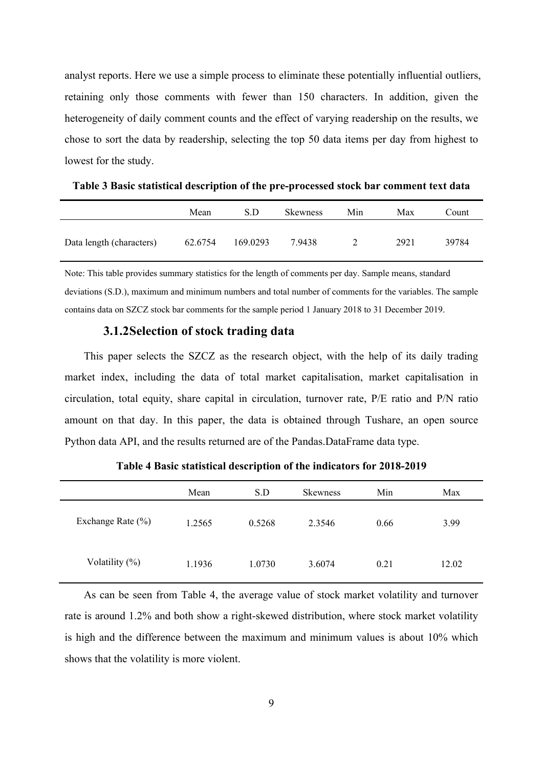analyst reports. Here we use a simple process to eliminate these potentially influential outliers, retaining only those comments with fewer than 150 characters. In addition, given the heterogeneity of daily comment counts and the effect of varying readership on the results, we chose to sort the data by readership, selecting the top 50 data items per day from highest to lowest for the study.

|                          | Mean    | S.D      | <b>Skewness</b> | Min | Max  | Count |
|--------------------------|---------|----------|-----------------|-----|------|-------|
| Data length (characters) | 62.6754 | 169.0293 | 7.9438          |     | 2921 | 39784 |

**Table 3 Basic statistical description of the pre-processed stock bar comment text data**

Note: This table provides summary statistics for the length of comments per day. Sample means, standard deviations (S.D.), maximum and minimum numbers and total number of comments for the variables. The sample contains data on SZCZ stock bar comments for the sample period 1 January 2018 to 31 December 2019.

#### **3.1.2Selection of stock trading data**

This paper selects the SZCZ as the research object, with the help of its daily trading market index, including the data of total market capitalisation, market capitalisation in circulation, total equity, share capital in circulation, turnover rate, P/E ratio and P/N ratio amount on that day. In this paper, the data is obtained through Tushare, an open source Python data API, and the results returned are of the Pandas.DataFrame data type.

|                   | Mean   | S.D    | <b>Skewness</b> | Min  | Max   |
|-------------------|--------|--------|-----------------|------|-------|
| Exchange Rate (%) | 1.2565 | 0.5268 | 2.3546          | 0.66 | 3.99  |
| Volatility $(\%)$ | 1.1936 | 1.0730 | 3.6074          | 0.21 | 12.02 |

**Table 4 Basic statistical description of the indicators for 2018-2019**

As can be seen from Table 4, the average value of stock market volatility and turnover rate is around 1.2% and both show a right-skewed distribution, where stock market volatility is high and the difference between the maximum and minimum values is about 10% which shows that the volatility is more violent.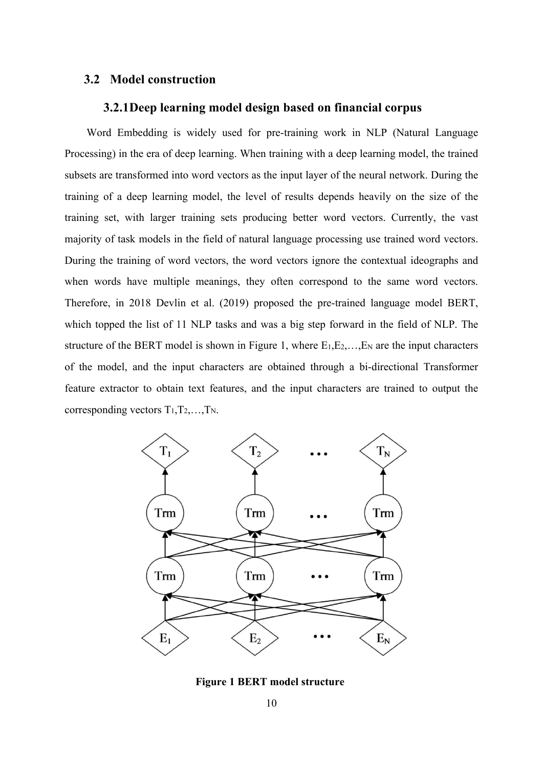#### **3.2 Model construction**

#### **3.2.1Deep learning model design based on financial corpus**

Word Embedding is widely used for pre-training work in NLP (Natural Language Processing) in the era of deep learning. When training with a deep learning model, the trained subsets are transformed into word vectors as the input layer of the neural network. During the training of a deep learning model, the level of results depends heavily on the size of the training set, with larger training sets producing better word vectors. Currently, the vast majority of task models in the field of natural language processing use trained word vectors. During the training of word vectors, the word vectors ignore the contextual ideographs and when words have multiple meanings, they often correspond to the same word vectors. Therefore, in 2018 Devlin et al. (2019) proposed the pre-trained language model BERT, which topped the list of 11 NLP tasks and was a big step forward in the field of NLP. The structure of the BERT model is shown in Figure 1, where  $E_1, E_2, \ldots, E_N$  are the input characters of the model, and the input characters are obtained through a bi-directional Transformer feature extractor to obtain text features, and the input characters are trained to output the corresponding vectors  $T_1, T_2, \ldots, T_N$ .



**Figure 1 BERT model structure**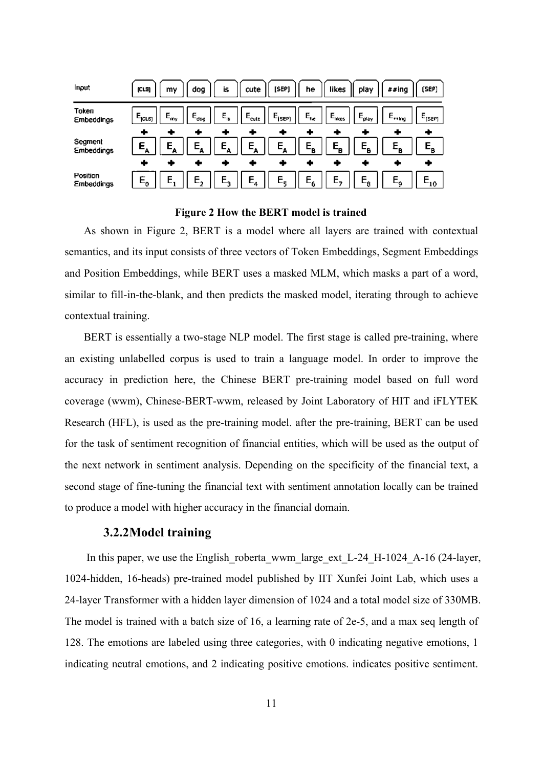| Input                        | (CLS)                   | dog<br>my                      | is.                        | cute              | [SEP]              | he                         | likes             | play                 | ##ing             | [SEP]                      |
|------------------------------|-------------------------|--------------------------------|----------------------------|-------------------|--------------------|----------------------------|-------------------|----------------------|-------------------|----------------------------|
| Token<br>Embeddings          | $E_{[CLS]}$             | $E_{\rm dog}$<br>$E_{\rm{my}}$ | $\mathsf{E}_{\mathsf{is}}$ | $E_{\text{cute}}$ | $E_{\text{[SEP]}}$ | $\mathsf{E}_{\mathsf{ne}}$ | $E_{\text{ikes}}$ | $E_{\rho\text{lay}}$ | $E_{\text{ring}}$ | $\mathsf{E}_{[SEP]}$       |
|                              | ٠                       |                                |                            |                   | ۰                  | ٠                          |                   |                      | ÷                 | ۰                          |
| Segment<br><b>Embeddings</b> |                         | E.<br>Е.                       | Ε.                         | Е.                | Ε.                 | $E_{\rm B}$                | $E_{B}$           | $E_{\rm n}$          |                   |                            |
|                              | ٠                       |                                |                            |                   |                    |                            |                   |                      |                   |                            |
| Position<br>Embeddings       | $\mathsf E_{\mathsf o}$ |                                | F.                         | $E_{4}$           | $E_{\rm c}$        | $E_6$                      |                   | $E_{\phi}$           |                   | $\mathsf{E}_{\mathbf{10}}$ |

**Figure 2 How the BERT model is trained**

As shown in Figure 2, BERT is a model where all layers are trained with contextual semantics, and its input consists of three vectors of Token Embeddings, Segment Embeddings and Position Embeddings, while BERT uses a masked MLM, which masks a part of a word, similar to fill-in-the-blank, and then predicts the masked model, iterating through to achieve contextual training.

BERT is essentially a two-stage NLP model. The first stage is called pre-training, where an existing unlabelled corpus is used to train a language model. In order to improve the accuracy in prediction here, the Chinese BERT pre-training model based on full word coverage (wwm), Chinese-BERT-wwm, released by Joint Laboratory of HIT and iFLYTEK Research (HFL), is used as the pre-training model. after the pre-training, BERT can be used for the task of sentiment recognition of financial entities, which will be used as the output of the next network in sentiment analysis. Depending on the specificity of the financial text, a second stage of fine-tuning the financial text with sentiment annotation locally can be trained to produce a model with higher accuracy in the financial domain.

#### **3.2.2Model training**

In this paper, we use the English roberta wwm large ext L-24 H-1024 A-16 (24-layer, 1024-hidden, 16-heads) pre-trained model published by IIT Xunfei Joint Lab, which uses a 24-layer Transformer with a hidden layer dimension of 1024 and a total model size of 330MB. The model is trained with a batch size of 16, a learning rate of 2e-5, and a max seq length of 128. The emotions are labeled using three categories, with 0 indicating negative emotions, 1 indicating neutral emotions, and 2 indicating positive emotions. indicates positive sentiment.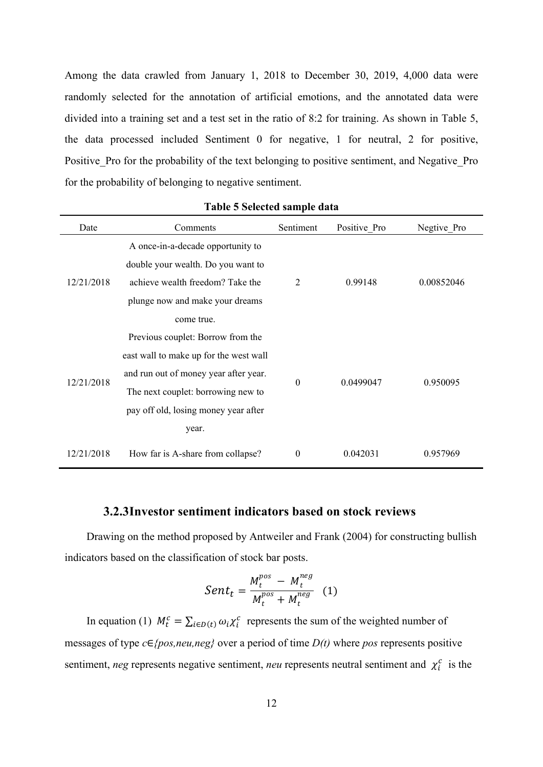Among the data crawled from January 1, 2018 to December 30, 2019, 4,000 data were randomly selected for the annotation of artificial emotions, and the annotated data were divided into a training set and a test set in the ratio of 8:2 for training. As shown in Table 5, the data processed included Sentiment 0 for negative, 1 for neutral, 2 for positive, Positive\_Pro for the probability of the text belonging to positive sentiment, and Negative\_Pro for the probability of belonging to negative sentiment.

| Date       | Comments                               | Sentiment      | Positive Pro | Negtive Pro |  |
|------------|----------------------------------------|----------------|--------------|-------------|--|
|            | A once-in-a-decade opportunity to      |                |              |             |  |
|            | double your wealth. Do you want to     |                |              |             |  |
| 12/21/2018 | achieve wealth freedom? Take the       | $\overline{2}$ | 0.99148      | 0.00852046  |  |
|            | plunge now and make your dreams        |                |              |             |  |
|            | come true.                             |                |              |             |  |
|            | Previous couplet: Borrow from the      |                |              |             |  |
|            | east wall to make up for the west wall |                | 0.0499047    |             |  |
| 12/21/2018 | and run out of money year after year.  |                |              |             |  |
|            | The next couplet: borrowing new to     | $\overline{0}$ |              | 0.950095    |  |
|            | pay off old, losing money year after   |                |              |             |  |
|            | year.                                  |                |              |             |  |
| 12/21/2018 | How far is A-share from collapse?      | $\overline{0}$ | 0.042031     | 0.957969    |  |

#### **Table 5 Selected sample data**

#### **3.2.3Investor sentiment indicators based on stock reviews**

Drawing on the method proposed by Antweiler and Frank (2004) for constructing bullish indicators based on the classification of stock bar posts.

$$
Sent_t = \frac{M_t^{pos} - M_t^{neg}}{M_t^{pos} + M_t^{neg}} \quad (1)
$$

In equation (1)  $M_t^c = \sum_{i \in D(t)} \omega_i \chi_i^c$  represents the sum of the weighted number of messages of type *c*∈*{pos,neu,neg}* over a period of time *D(t)* where *pos* represents positive sentiment, *neg* represents negative sentiment, *neu* represents neutral sentiment and  $\chi_i^c$  is the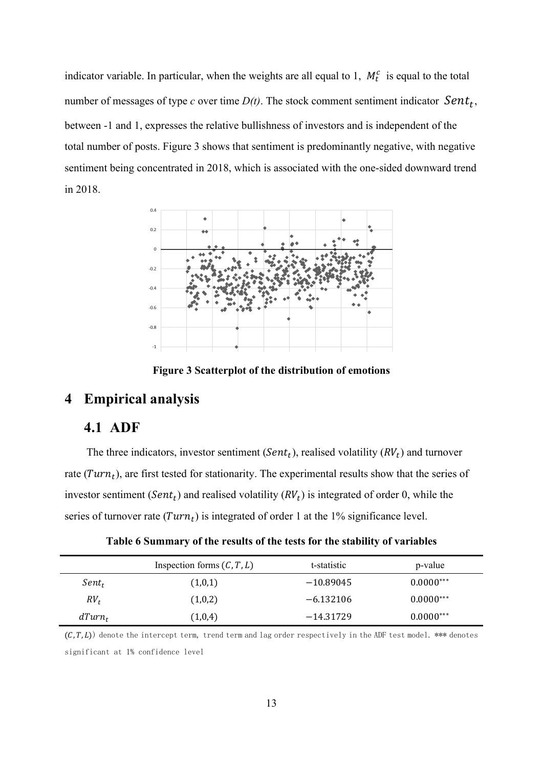indicator variable. In particular, when the weights are all equal to 1,  $M_t^c$  is equal to the total number of messages of type  $c$  over time  $D(t)$ . The stock comment sentiment indicator  $Sent_t$ , between -1 and 1, expresses the relative bullishness of investors and is independent of the total number of posts. Figure 3 shows that sentiment is predominantly negative, with negative sentiment being concentrated in 2018, which is associated with the one-sided downward trend in 2018.



**Figure 3 Scatterplot of the distribution of emotions**

### **4 Empirical analysis**

# **4.1 ADF**

The three indicators, investor sentiment ( $Sent_t$ ), realised volatility ( $RV_t$ ) and turnover rate ( $Turn<sub>t</sub>$ ), are first tested for stationarity. The experimental results show that the series of investor sentiment ( $Sent<sub>t</sub>$ ) and realised volatility ( $RV<sub>t</sub>$ ) is integrated of order 0, while the series of turnover rate  $(Turn<sub>t</sub>)$  is integrated of order 1 at the 1% significance level.

|           | Inspection forms $(C, T, L)$ | t-statistic | p-value     |
|-----------|------------------------------|-------------|-------------|
| $Sent_t$  | (1,0,1)                      | $-10.89045$ | $0.0000***$ |
| $RV_t$    | (1,0,2)                      | $-6.132106$ | $0.0000***$ |
| $dTurn_t$ | (1,0,4)                      | $-14.31729$ | $0.0000***$ |

**Table 6 Summary of the results of the tests for the stability of variables**

 $(C, T, L)$  denote the intercept term, trend term and lag order respectively in the ADF test model. \*\*\* denotes significant at 1% confidence level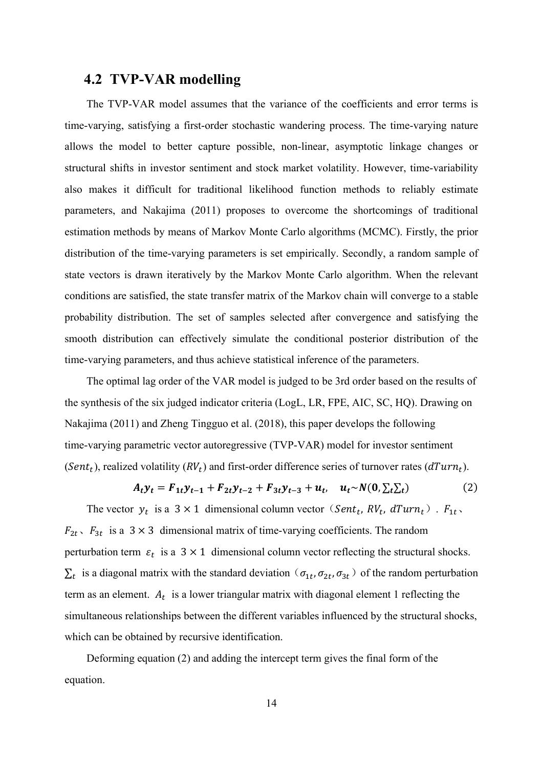# **4.2 TVP-VAR modelling**

The TVP-VAR model assumes that the variance of the coefficients and error terms is time-varying, satisfying a first-order stochastic wandering process. The time-varying nature allows the model to better capture possible, non-linear, asymptotic linkage changes or structural shifts in investor sentiment and stock market volatility. However, time-variability also makes it difficult for traditional likelihood function methods to reliably estimate parameters, and Nakajima (2011) proposes to overcome the shortcomings of traditional estimation methods by means of Markov Monte Carlo algorithms (MCMC). Firstly, the prior distribution of the time-varying parameters is set empirically. Secondly, a random sample of state vectors is drawn iteratively by the Markov Monte Carlo algorithm. When the relevant conditions are satisfied, the state transfer matrix of the Markov chain will converge to a stable probability distribution. The set of samples selected after convergence and satisfying the smooth distribution can effectively simulate the conditional posterior distribution of the time-varying parameters, and thus achieve statistical inference of the parameters.

The optimal lag order of the VAR model is judged to be 3rd order based on the results of the synthesis of the six judged indicator criteria (LogL, LR, FPE, AIC, SC, HQ). Drawing on Nakajima (2011) and Zheng Tingguo et al. (2018), this paper develops the following time-varying parametric vector autoregressive (TVP-VAR) model for investor sentiment (Sent<sub>t</sub>), realized volatility ( $RV<sub>t</sub>$ ) and first-order difference series of turnover rates ( $dTurn<sub>t</sub>$ ).

$$
A_t y_t = F_{1t} y_{t-1} + F_{2t} y_{t-2} + F_{3t} y_{t-3} + u_t, \quad u_t \sim N(0, \Sigma_t \Sigma_t)
$$
 (2)

The vector  $y_t$  is a  $3 \times 1$  dimensional column vector (*Sent<sub>t</sub>*,  $RV_t$ ,  $dTurn_t$ ).  $F_{1t}$ ,  $F_{2t}$ ,  $F_{3t}$  is a 3 × 3 dimensional matrix of time-varying coefficients. The random perturbation term  $\varepsilon_t$  is a 3 × 1 dimensional column vector reflecting the structural shocks.  $\Sigma_t$  is a diagonal matrix with the standard deviation ( $\sigma_{1t}$ ,  $\sigma_{2t}$ ,  $\sigma_{3t}$ ) of the random perturbation term as an element.  $A_t$  is a lower triangular matrix with diagonal element 1 reflecting the simultaneous relationships between the different variables influenced by the structural shocks, which can be obtained by recursive identification.

Deforming equation (2) and adding the intercept term gives the final form of the equation.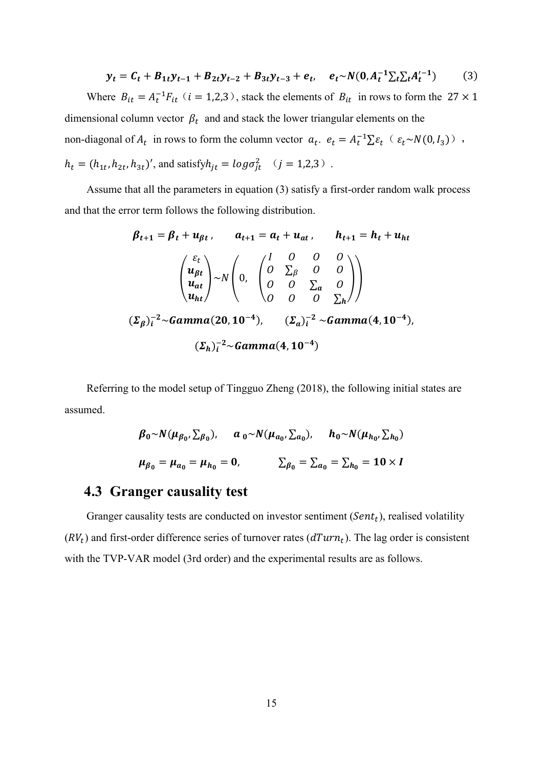$$
y_t = C_t + B_{1t}y_{t-1} + B_{2t}y_{t-2} + B_{3t}y_{t-3} + e_t, \quad e_t \sim N(0, A_t^{-1} \Sigma_t \Sigma_t A_t'^{-1})
$$
(3)

Where  $B_{it} = A_t^{-1} F_{it}$  ( $i = 1,2,3$ ), stack the elements of  $B_{it}$  in rows to form the 27  $\times$  1 dimensional column vector  $\beta_t$  and and stack the lower triangular elements on the non-diagonal of  $A_t$  in rows to form the column vector  $a_t$ .  $e_t = A_t^{-1} \sum \varepsilon_t (\varepsilon_t \sim N(0, I_3))$ ,  $h_t = (h_{1t}, h_{2t}, h_{3t})'$ , and satisfy $h_{jt} = log \sigma_{jt}^2$  ( $j = 1,2,3$ ).

Assume that all the parameters in equation (3) satisfy a first-order random walk process and that the error term follows the following distribution.

$$
\beta_{t+1} = \beta_t + u_{\beta t}, \qquad a_{t+1} = a_t + u_{at}, \qquad h_{t+1} = h_t + u_{ht}
$$
  

$$
\begin{pmatrix} \varepsilon_t \\ u_{\beta t} \\ u_{at} \\ u_{ht} \end{pmatrix} \sim N \begin{pmatrix} \int_0^T \begin{pmatrix} 0 & 0 & 0 \\ 0 & \sum_{\beta} & 0 & 0 \\ 0 & 0 & \sum_{a} & 0 \\ 0 & 0 & 0 & \sum_{h} \end{pmatrix} \\ (\Sigma_{\beta})_t^{-2} \sim \text{Gamma}(20, 10^{-4}), \qquad (\Sigma_a)_t^{-2} \sim \text{Gamma}(4, 10^{-4}),
$$
  

$$
(\Sigma_h)_t^{-2} \sim \text{Gamma}(4, 10^{-4})
$$

Referring to the model setup of Tingguo Zheng (2018), the following initial states are assumed.

$$
\beta_0 \sim N(\mu_{\beta_0}, \Sigma_{\beta_0}), \quad a_0 \sim N(\mu_{a_0}, \Sigma_{a_0}), \quad h_0 \sim N(\mu_{h_0}, \Sigma_{h_0})
$$
  

$$
\mu_{\beta_0} = \mu_{a_0} = \mu_{h_0} = 0, \quad \Sigma_{\beta_0} = \Sigma_{a_0} = \Sigma_{h_0} = 10 \times I
$$

### **4.3 Granger causality test**

Granger causality tests are conducted on investor sentiment  $(Sent<sub>t</sub>)$ , realised volatility  $(RV_t)$  and first-order difference series of turnover rates  $(dTurn_t)$ . The lag order is consistent with the TVP-VAR model (3rd order) and the experimental results are as follows.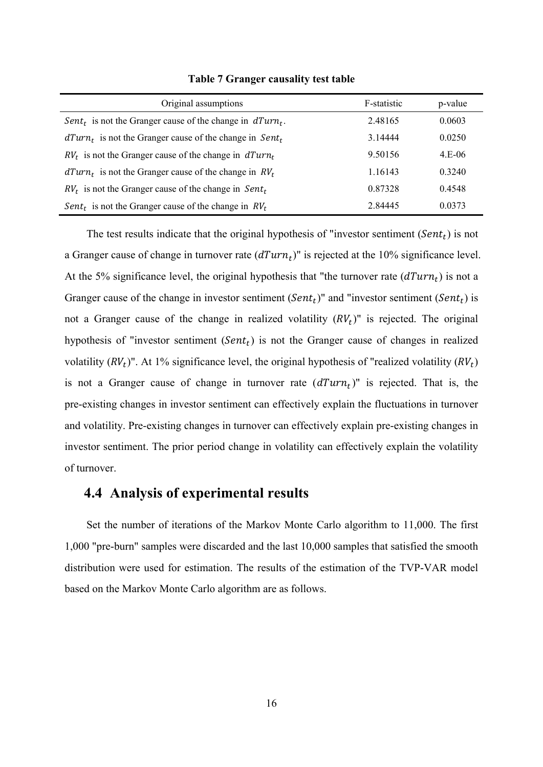| Original assumptions                                                    | F-statistic | p-value  |
|-------------------------------------------------------------------------|-------------|----------|
| Sent <sub>t</sub> is not the Granger cause of the change in $dTurn_t$ . | 2.48165     | 0.0603   |
| $dTurn_t$ is not the Granger cause of the change in Sent <sub>t</sub>   | 3.14444     | 0.0250   |
| $RVt$ is not the Granger cause of the change in $dTurnt$                | 9.50156     | $4.E-06$ |
| $dTurn_t$ is not the Granger cause of the change in $RV_t$              | 1.16143     | 0.3240   |
| $RVt$ is not the Granger cause of the change in Sent <sub>t</sub>       | 0.87328     | 0.4548   |
| Sent <sub>t</sub> is not the Granger cause of the change in $RVt$       | 2.84445     | 0.0373   |

**Table 7 Granger causality test table**

The test results indicate that the original hypothesis of "investor sentiment ( $Sent<sub>t</sub>$ ) is not a Granger cause of change in turnover rate  $(dTurn<sub>t</sub>)$ " is rejected at the 10% significance level. At the 5% significance level, the original hypothesis that "the turnover rate  $(dTurn_t)$  is not a Granger cause of the change in investor sentiment  $(Sent<sub>t</sub>)$ " and "investor sentiment  $(Sent<sub>t</sub>)$  is not a Granger cause of the change in realized volatility  $(RV_t)$ " is rejected. The original hypothesis of "investor sentiment  $(Sent<sub>t</sub>)$  is not the Granger cause of changes in realized volatility  $(RV_t)$ ". At 1% significance level, the original hypothesis of "realized volatility  $(RV_t)$ " is not a Granger cause of change in turnover rate  $(dTurn<sub>t</sub>)$ " is rejected. That is, the pre-existing changes in investor sentiment can effectively explain the fluctuations in turnover and volatility. Pre-existing changes in turnover can effectively explain pre-existing changes in investor sentiment. The prior period change in volatility can effectively explain the volatility of turnover.

### **4.4 Analysis of experimental results**

Set the number of iterations of the Markov Monte Carlo algorithm to 11,000. The first 1,000 "pre-burn" samples were discarded and the last 10,000 samples that satisfied the smooth distribution were used for estimation. The results of the estimation of the TVP-VAR model based on the Markov Monte Carlo algorithm are as follows.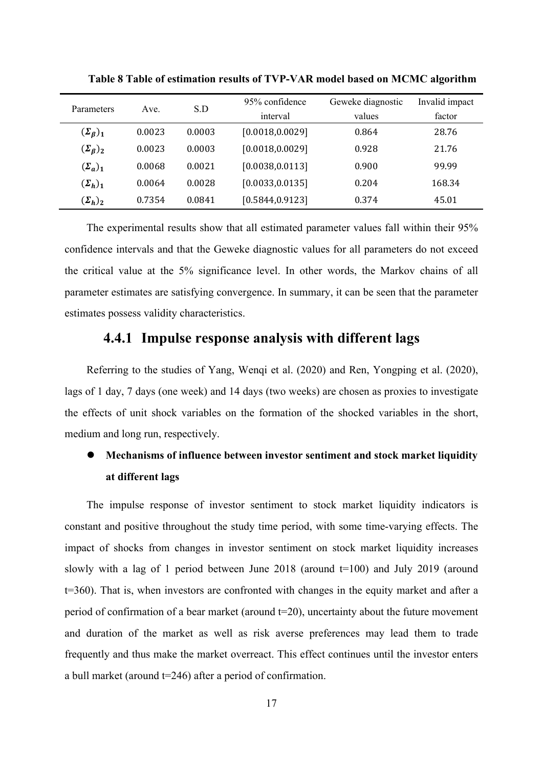|                         |        |        | 95% confidence   | Geweke diagnostic | Invalid impact |
|-------------------------|--------|--------|------------------|-------------------|----------------|
| Parameters              | Ave.   | S.D    |                  |                   |                |
|                         |        |        | interval         | values            | factor         |
| $(\Sigma_{\beta})_1$    | 0.0023 | 0.0003 | [0.0018, 0.0029] | 0.864             | 28.76          |
| $(\Sigma_{\beta})_2$    | 0.0023 | 0.0003 | [0.0018, 0.0029] | 0.928             | 21.76          |
| $(\Sigma_a)_1$          | 0.0068 | 0.0021 | [0.0038, 0.0113] | 0.900             | 99.99          |
| $(\mathbf{\Sigma}_h)_1$ | 0.0064 | 0.0028 | [0.0033, 0.0135] | 0.204             | 168.34         |
| $(\Sigma_h)_2$          | 0.7354 | 0.0841 | [0.5844, 0.9123] | 0.374             | 45.01          |

**Table 8 Table of estimation results of TVP-VAR model based on MCMC algorithm**

The experimental results show that all estimated parameter values fall within their 95% confidence intervals and that the Geweke diagnostic values for all parameters do not exceed the critical value at the 5% significance level. In other words, the Markov chains of all parameter estimates are satisfying convergence. In summary, it can be seen that the parameter estimates possess validity characteristics.

# **4.4.1 Impulse response analysis with different lags**

Referring to the studies of Yang, Wenqi et al. (2020) and Ren, Yongping et al. (2020), lags of 1 day, 7 days (one week) and 14 days (two weeks) are chosen as proxies to investigate the effects of unit shock variables on the formation of the shocked variables in the short, medium and long run, respectively.

# **Mechanisms of influence between investor sentiment and stock market liquidity at different lags**

The impulse response of investor sentiment to stock market liquidity indicators is constant and positive throughout the study time period, with some time-varying effects. The impact of shocks from changes in investor sentiment on stock market liquidity increases slowly with a lag of 1 period between June 2018 (around  $t=100$ ) and July 2019 (around t=360). That is, when investors are confronted with changes in the equity market and after a period of confirmation of a bear market (around  $t=20$ ), uncertainty about the future movement and duration of the market as well as risk averse preferences may lead them to trade frequently and thus make the market overreact. This effect continues until the investor enters a bull market (around t=246) after a period of confirmation.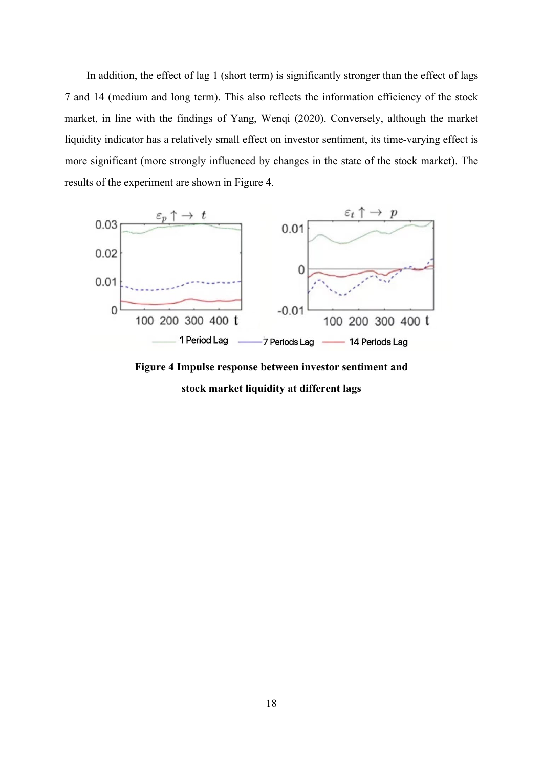In addition, the effect of lag 1 (short term) is significantly stronger than the effect of lags 7 and 14 (medium and long term). This also reflects the information efficiency of the stock market, in line with the findings of Yang, Wenqi (2020). Conversely, although the market liquidity indicator has a relatively small effect on investor sentiment, its time-varying effect is more significant (more strongly influenced by changes in the state of the stock market). The results of the experiment are shown in Figure 4.



**Figure 4 Impulse response between investor sentiment and stock market liquidity at different lags**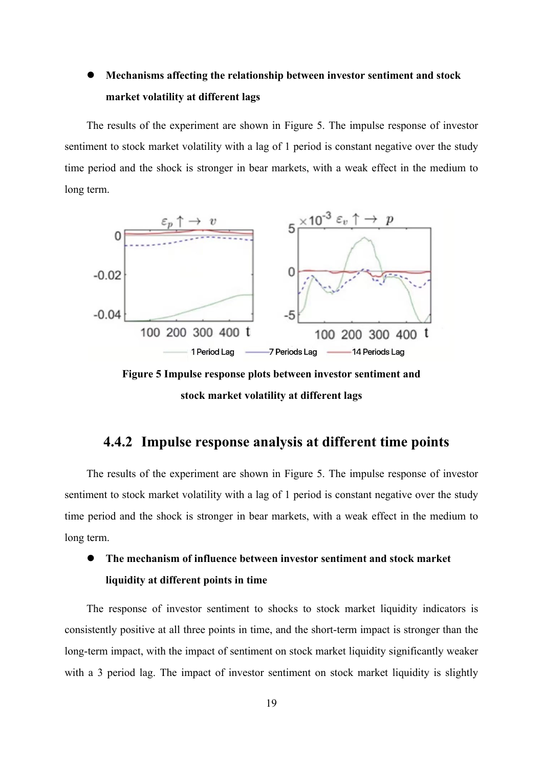# **Mechanisms affecting the relationship between investor sentiment and stock market volatility at different lags**

The results of the experiment are shown in Figure 5. The impulse response of investor sentiment to stock market volatility with a lag of 1 period is constant negative over the study time period and the shock is stronger in bear markets, with a weak effect in the medium to long term.



**Figure 5 Impulse response plots between investor sentiment and stock market volatility at different lags**

# **4.4.2 Impulse response analysis at different time points**

The results of the experiment are shown in Figure 5. The impulse response of investor sentiment to stock market volatility with a lag of 1 period is constant negative over the study time period and the shock is stronger in bear markets, with a weak effect in the medium to long term.

# **The mechanism of influence between investor sentiment and stock market liquidity at different points in time**

The response of investor sentiment to shocks to stock market liquidity indicators is consistently positive at all three points in time, and the short-term impact is stronger than the long-term impact, with the impact of sentiment on stock market liquidity significantly weaker with a 3 period lag. The impact of investor sentiment on stock market liquidity is slightly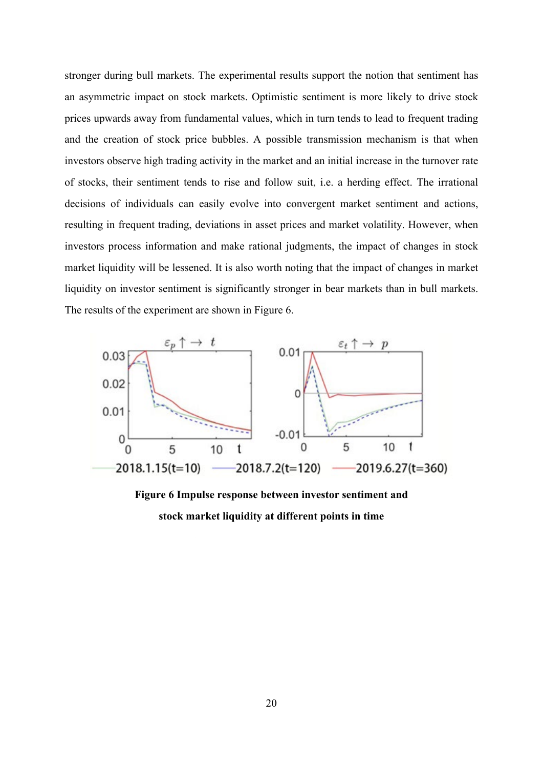stronger during bull markets. The experimental results support the notion that sentiment has an asymmetric impact on stock markets. Optimistic sentiment is more likely to drive stock prices upwards away from fundamental values, which in turn tends to lead to frequent trading and the creation of stock price bubbles. A possible transmission mechanism is that when investors observe high trading activity in the market and an initial increase in the turnover rate of stocks, their sentiment tends to rise and follow suit, i.e. a herding effect. The irrational decisions of individuals can easily evolve into convergent market sentiment and actions, resulting in frequent trading, deviations in asset prices and market volatility. However, when investors process information and make rational judgments, the impact of changes in stock market liquidity will be lessened. It is also worth noting that the impact of changes in market liquidity on investor sentiment is significantly stronger in bear markets than in bull markets. The results of the experiment are shown in Figure 6.



**Figure 6 Impulse response between investor sentiment and stock market liquidity at different points in time**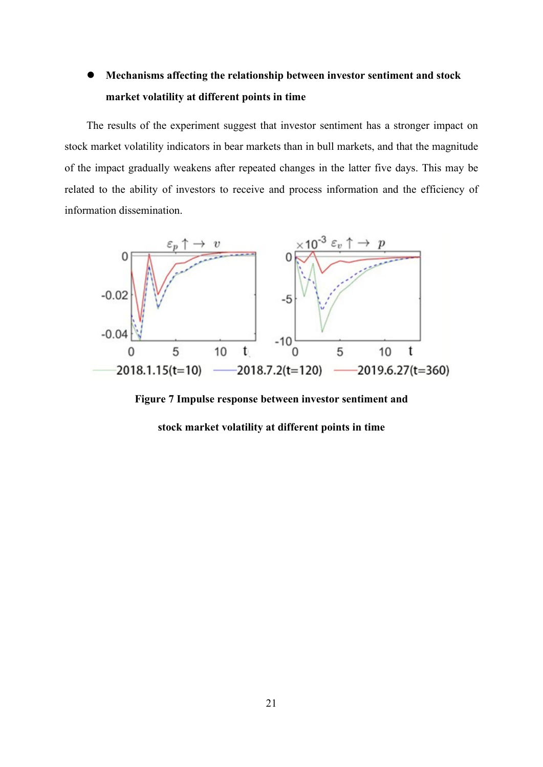# **Mechanisms affecting the relationship between investor sentiment and stock market volatility at different points in time**

The results of the experiment suggest that investor sentiment has a stronger impact on stock market volatility indicators in bear markets than in bull markets, and that the magnitude of the impact gradually weakens after repeated changes in the latter five days. This may be related to the ability of investors to receive and process information and the efficiency of information dissemination.



**Figure 7 Impulse response between investor sentiment and** 

**stock market volatility at different points in time**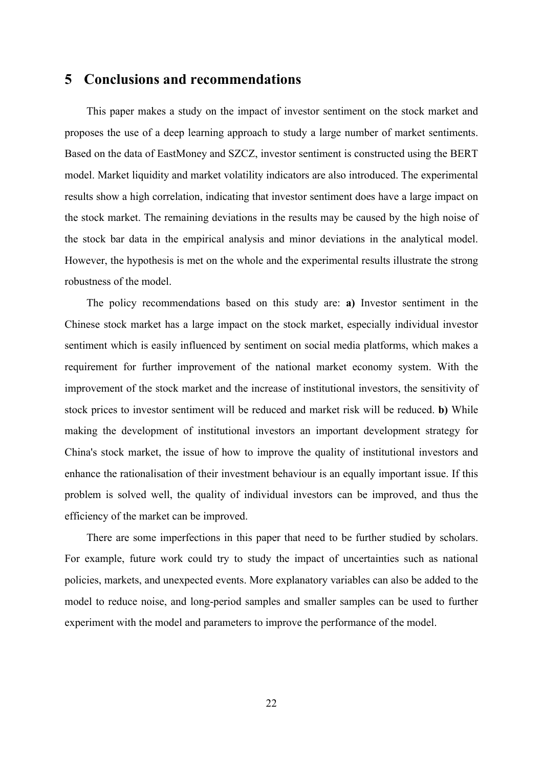### **5 Conclusions and recommendations**

This paper makes a study on the impact of investor sentiment on the stock market and proposes the use of a deep learning approach to study a large number of market sentiments. Based on the data of EastMoney and SZCZ, investor sentiment is constructed using the BERT model. Market liquidity and market volatility indicators are also introduced. The experimental results show a high correlation, indicating that investor sentiment does have a large impact on the stock market. The remaining deviations in the results may be caused by the high noise of the stock bar data in the empirical analysis and minor deviations in the analytical model. However, the hypothesis is met on the whole and the experimental results illustrate the strong robustness of the model.

The policy recommendations based on this study are: **a)** Investor sentiment in the Chinese stock market has a large impact on the stock market, especially individual investor sentiment which is easily influenced by sentiment on social media platforms, which makes a requirement for further improvement of the national market economy system. With the improvement of the stock market and the increase of institutional investors, the sensitivity of stock prices to investor sentiment will be reduced and market risk will be reduced. **b)** While making the development of institutional investors an important development strategy for China's stock market, the issue of how to improve the quality of institutional investors and enhance the rationalisation of their investment behaviour is an equally important issue. If this problem is solved well, the quality of individual investors can be improved, and thus the efficiency of the market can be improved.

There are some imperfections in this paper that need to be further studied by scholars. For example, future work could try to study the impact of uncertainties such as national policies, markets, and unexpected events. More explanatory variables can also be added to the model to reduce noise, and long-period samples and smaller samples can be used to further experiment with the model and parameters to improve the performance of the model.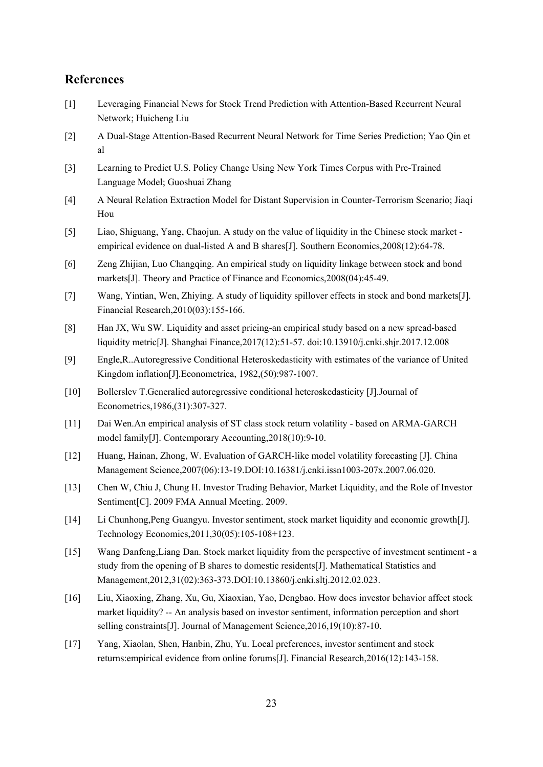### **References**

- [1] Leveraging Financial News for Stock Trend Prediction with Attention-Based Recurrent Neural Network; Huicheng Liu
- [2] A Dual-Stage Attention-Based Recurrent Neural Network for Time Series Prediction; Yao Qin et al
- [3] Learning to Predict U.S. Policy Change Using New York Times Corpus with Pre-Trained Language Model; Guoshuai Zhang
- [4] A Neural Relation Extraction Model for Distant Supervision in Counter-Terrorism Scenario; Jiaqi Hou
- [5] Liao, Shiguang, Yang, Chaojun. A study on the value of liquidity in the Chinese stock market empirical evidence on dual-listed A and B shares[J]. Southern Economics,2008(12):64-78.
- [6] Zeng Zhijian, Luo Changqing. An empirical study on liquidity linkage between stock and bond markets[J]. Theory and Practice of Finance and Economics,2008(04):45-49.
- [7] Wang, Yintian, Wen, Zhiying. A study of liquidity spillover effects in stock and bond markets[J]. Financial Research,2010(03):155-166.
- [8] Han JX, Wu SW. Liquidity and asset pricing-an empirical study based on a new spread-based liquidity metric[J]. Shanghai Finance,2017(12):51-57. doi:10.13910/j.cnki.shjr.2017.12.008
- [9] Engle,R..Autoregressive Conditional Heteroskedasticity with estimates of the variance of United Kingdom inflation[J].Econometrica, 1982,(50):987-1007.
- [10] Bollerslev T.Generalied autoregressive conditional heteroskedasticity [J].Journal of Econometrics,1986,(31):307-327.
- [11] Dai Wen.An empirical analysis of ST class stock return volatility based on ARMA-GARCH model family[J]. Contemporary Accounting,2018(10):9-10.
- [12] Huang, Hainan, Zhong, W. Evaluation of GARCH-like model volatility forecasting [J]. China Management Science,2007(06):13-19.DOI:10.16381/j.cnki.issn1003-207x.2007.06.020.
- [13] Chen W, Chiu J, Chung H. Investor Trading Behavior, Market Liquidity, and the Role of Investor Sentiment[C]. 2009 FMA Annual Meeting. 2009.
- [14] Li Chunhong,Peng Guangyu. Investor sentiment, stock market liquidity and economic growth[J]. Technology Economics,2011,30(05):105-108+123.
- [15] Wang Danfeng,Liang Dan. Stock market liquidity from the perspective of investment sentiment a study from the opening of B shares to domestic residents[J]. Mathematical Statistics and Management,2012,31(02):363-373.DOI:10.13860/j.cnki.sltj.2012.02.023.
- [16] Liu, Xiaoxing, Zhang, Xu, Gu, Xiaoxian, Yao, Dengbao. How does investor behavior affect stock market liquidity? -- An analysis based on investor sentiment, information perception and short selling constraints<sup>[J]</sup>. Journal of Management Science, 2016, 19(10): 87-10.
- [17] Yang, Xiaolan, Shen, Hanbin, Zhu, Yu. Local preferences, investor sentiment and stock returns:empirical evidence from online forums[J]. Financial Research,2016(12):143-158.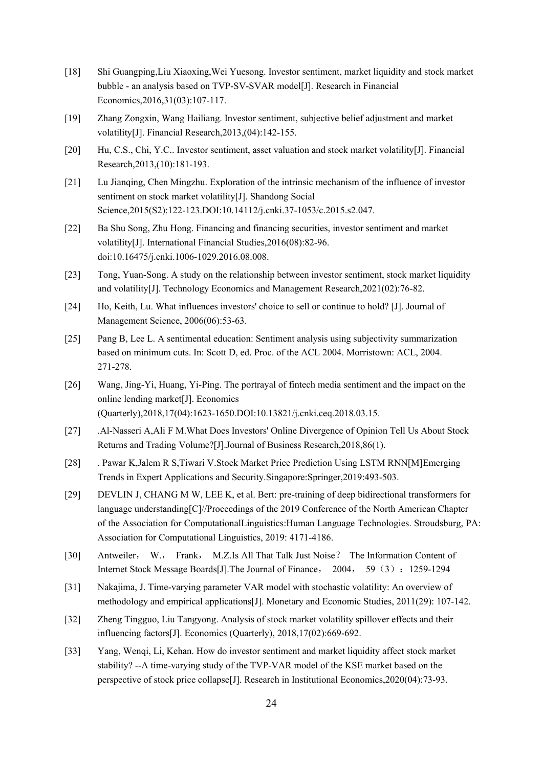- [18] Shi Guangping,Liu Xiaoxing,Wei Yuesong. Investor sentiment, market liquidity and stock market bubble - an analysis based on TVP-SV-SVAR model[J]. Research in Financial Economics,2016,31(03):107-117.
- [19] Zhang Zongxin, Wang Hailiang. Investor sentiment, subjective belief adjustment and market volatility[J]. Financial Research,2013,(04):142-155.
- [20] Hu, C.S., Chi, Y.C.. Investor sentiment, asset valuation and stock market volatility[J]. Financial Research,2013,(10):181-193.
- [21] Lu Jianqing, Chen Mingzhu. Exploration of the intrinsic mechanism of the influence of investor sentiment on stock market volatility[J]. Shandong Social Science,2015(S2):122-123.DOI:10.14112/j.cnki.37-1053/c.2015.s2.047.
- [22] Ba Shu Song, Zhu Hong. Financing and financing securities, investor sentiment and market volatility[J]. International Financial Studies,2016(08):82-96. doi:10.16475/j.cnki.1006-1029.2016.08.008.
- [23] Tong, Yuan-Song. A study on the relationship between investor sentiment, stock market liquidity and volatility[J]. Technology Economics and Management Research,2021(02):76-82.
- [24] Ho, Keith, Lu. What influences investors' choice to sell or continue to hold? [J]. Journal of Management Science, 2006(06):53-63.
- [25] Pang B, Lee L. A sentimental education: Sentiment analysis using subjectivity summarization based on minimum cuts. In: Scott D, ed. Proc. of the ACL 2004. Morristown: ACL, 2004. 271-278.
- [26] Wang, Jing-Yi, Huang, Yi-Ping. The portrayal of fintech media sentiment and the impact on the online lending market[J]. Economics (Quarterly),2018,17(04):1623-1650.DOI:10.13821/j.cnki.ceq.2018.03.15.
- [27] .Al-Nasseri A,Ali F M.What Does Investors' Online Divergence of Opinion Tell Us About Stock Returns and Trading Volume?[J].Journal of Business Research,2018,86(1).
- [28] . Pawar K,Jalem R S,Tiwari V.Stock Market Price Prediction Using LSTM RNN[M]Emerging Trends in Expert Applications and Security.Singapore:Springer,2019:493-503.
- [29] DEVLIN J, CHANG M W, LEE K, et al. Bert: pre-training of deep bidirectional transformers for language understanding[C]//Proceedings of the 2019 Conference of the North American Chapter of the Association for ComputationalLinguistics:Human Language Technologies. Stroudsburg, PA: Association for Computational Linguistics, 2019: 4171-4186.
- [30] Antweiler, W., Frank, M.Z.Is All That Talk Just Noise? The Information Content of Internet Stock Message Boards[J].The Journal of Finance, 2004, 59(3):1259-1294
- [31] Nakajima, J. Time-varying parameter VAR model with stochastic volatility: An overview of methodology and empirical applications[J]. Monetary and Economic Studies, 2011(29): 107-142.
- [32] Zheng Tingguo, Liu Tangyong. Analysis of stock market volatility spillover effects and their influencing factors[J]. Economics (Quarterly), 2018,17(02):669-692.
- [33] Yang, Wenqi, Li, Kehan. How do investor sentiment and market liquidity affect stock market stability? --A time-varying study of the TVP-VAR model of the KSE market based on the perspective of stock price collapse[J]. Research in Institutional Economics,2020(04):73-93.